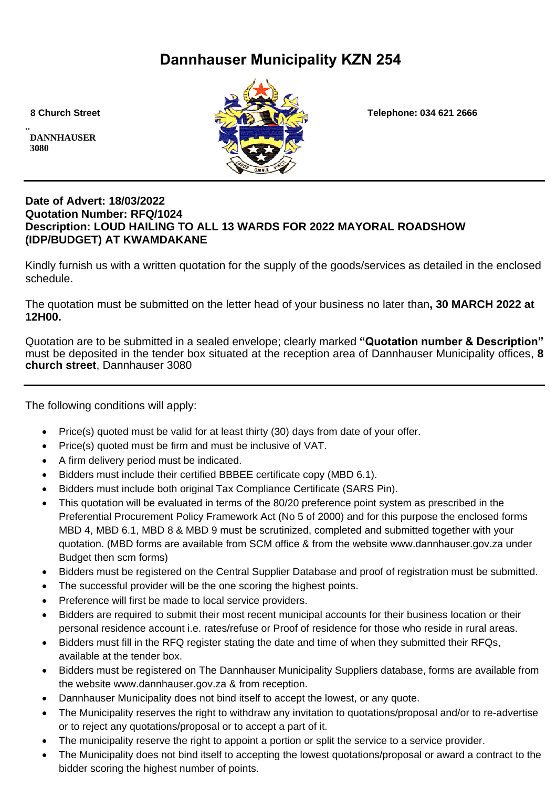# **Dannhauser Municipality KZN 254**

**.. DANNHAUSER 3080** 



 **8 Church Street Telephone: 034 621 2666**

#### **Date of Advert: 18/03/2022 Quotation Number: RFQ/1024 Description: LOUD HAILING TO ALL 13 WARDS FOR 2022 MAYORAL ROADSHOW (IDP/BUDGET) AT KWAMDAKANE**

Kindly furnish us with a written quotation for the supply of the goods/services as detailed in the enclosed schedule.

The quotation must be submitted on the letter head of your business no later than**, 30 MARCH 2022 at 12H00.**

Quotation are to be submitted in a sealed envelope; clearly marked **"Quotation number & Description"** must be deposited in the tender box situated at the reception area of Dannhauser Municipality offices, **8 church street**, Dannhauser 3080

The following conditions will apply:

- Price(s) quoted must be valid for at least thirty (30) days from date of your offer.
- Price(s) quoted must be firm and must be inclusive of VAT.
- A firm delivery period must be indicated.
- Bidders must include their certified BBBEE certificate copy (MBD 6.1).
- Bidders must include both original Tax Compliance Certificate (SARS Pin).
- This quotation will be evaluated in terms of the 80/20 preference point system as prescribed in the Preferential Procurement Policy Framework Act (No 5 of 2000) and for this purpose the enclosed forms MBD 4, MBD 6.1, MBD 8 & MBD 9 must be scrutinized, completed and submitted together with your quotation. (MBD forms are available from SCM office & from the website www.dannhauser.gov.za under Budget then scm forms)
- Bidders must be registered on the Central Supplier Database and proof of registration must be submitted.
- The successful provider will be the one scoring the highest points.
- Preference will first be made to local service providers.
- Bidders are required to submit their most recent municipal accounts for their business location or their personal residence account i.e. rates/refuse or Proof of residence for those who reside in rural areas.
- Bidders must fill in the RFQ register stating the date and time of when they submitted their RFQs, available at the tender box.
- Bidders must be registered on The Dannhauser Municipality Suppliers database, forms are available from the website www.dannhauser.gov.za & from reception.
- Dannhauser Municipality does not bind itself to accept the lowest, or any quote.
- The Municipality reserves the right to withdraw any invitation to quotations/proposal and/or to re-advertise or to reject any quotations/proposal or to accept a part of it.
- The municipality reserve the right to appoint a portion or split the service to a service provider.
- The Municipality does not bind itself to accepting the lowest quotations/proposal or award a contract to the bidder scoring the highest number of points.